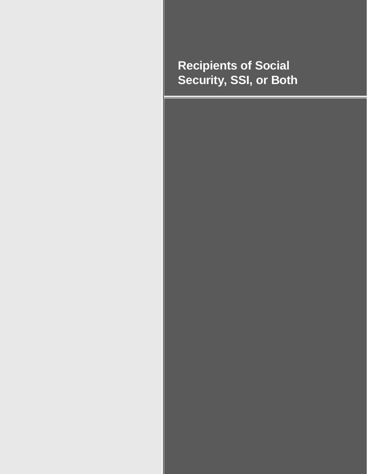# **Recipients of Social Security, SSI, or Both**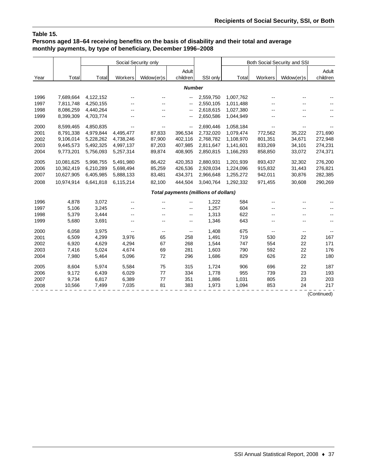## **Table 15.**

## **Persons aged 18–64 receiving benefits on the basis of disability and their total and average monthly payments, by type of beneficiary, December 1996–2008**

|      |            |           |           | Social Security only     |                                               |           | Both Social Security and SSI |                          |            |          |  |  |
|------|------------|-----------|-----------|--------------------------|-----------------------------------------------|-----------|------------------------------|--------------------------|------------|----------|--|--|
|      |            |           |           |                          | Adult                                         |           |                              |                          |            | Adult    |  |  |
| Year | Total      | Total     | Workers   | Widow(er)s               | children                                      | SSI only  | Total                        | Workers                  | Widow(er)s | children |  |  |
|      |            |           |           |                          | <b>Number</b>                                 |           |                              |                          |            |          |  |  |
| 1996 | 7,689,664  | 4,122,152 |           |                          | $\overline{\phantom{a}}$                      | 2,559,750 | 1,007,762                    |                          |            |          |  |  |
| 1997 | 7,811,748  | 4,250,155 |           |                          | $\overline{\phantom{a}}$                      | 2,550,105 | 1,011,488                    |                          |            |          |  |  |
| 1998 | 8,086,259  | 4,440,264 |           |                          | $\sim$ $\sim$                                 | 2,618,615 | 1,027,380                    |                          |            |          |  |  |
| 1999 | 8,399,309  | 4,703,774 |           |                          | $\overline{\phantom{a}}$                      | 2,650,586 | 1,044,949                    |                          |            |          |  |  |
| 2000 | 8,599,465  | 4,850,835 |           |                          | $\mathord{\hspace{1pt}\text{--}\hspace{1pt}}$ | 2,690,446 | 1,058,184                    | $\overline{\phantom{a}}$ |            |          |  |  |
| 2001 | 8,791,338  | 4,979,844 | 4,495,477 | 87,833                   | 396,534                                       | 2,732,020 | 1,079,474                    | 772,562                  | 35,222     | 271,690  |  |  |
| 2002 | 9,106,014  | 5,228,262 | 4,738,246 | 87,900                   | 402,116                                       | 2,768,782 | 1,108,970                    | 801,351                  | 34,671     | 272,948  |  |  |
| 2003 | 9,445,573  | 5,492,325 | 4,997,137 | 87,203                   | 407.985                                       | 2,811,647 | 1,141,601                    | 833,269                  | 34,101     | 274,231  |  |  |
| 2004 | 9,773,201  | 5,756,093 | 5,257,314 | 89,874                   | 408,905                                       | 2,850,815 | 1,166,293                    | 858,850                  | 33,072     | 274,371  |  |  |
| 2005 | 10,081,625 | 5,998,755 | 5,491,980 | 86,422                   | 420,353                                       | 2,880,931 | 1,201,939                    | 893,437                  | 32,302     | 276,200  |  |  |
| 2006 | 10,362,419 | 6,210,289 | 5,698,494 | 85,259                   | 426,536                                       | 2,928,034 | 1,224,096                    | 915,832                  | 31,443     | 276,821  |  |  |
| 2007 | 10,627,905 | 6,405,985 | 5,888,133 | 83,481                   | 434,371                                       | 2,966,648 | 1,255,272                    | 942,011                  | 30,876     | 282,385  |  |  |
| 2008 | 10,974,914 | 6,641,818 | 6,115,214 | 82,100                   | 444,504                                       | 3,040,764 | 1,292,332                    | 971,455                  | 30,608     | 290,269  |  |  |
|      |            |           |           |                          | <b>Total payments (millions of dollars)</b>   |           |                              |                          |            |          |  |  |
| 1996 | 4,878      | 3,072     | --        |                          | ۰.                                            | 1,222     | 584                          |                          |            |          |  |  |
| 1997 | 5,106      | 3,245     |           |                          | $\overline{\phantom{a}}$                      | 1,257     | 604                          |                          |            |          |  |  |
| 1998 | 5,379      | 3,444     |           |                          | $\overline{\phantom{a}}$                      | 1,313     | 622                          | $-$                      |            |          |  |  |
| 1999 | 5,680      | 3,691     | --        | --                       | $\overline{\phantom{a}}$                      | 1,346     | 643                          | $-$                      |            |          |  |  |
| 2000 | 6,058      | 3,975     |           | $\overline{\phantom{m}}$ | $\overline{\phantom{a}}$                      | 1,408     | 675                          | $\overline{\phantom{a}}$ | --         |          |  |  |
| 2001 | 6,509      | 4,299     | 3,976     | 65                       | 258                                           | 1,491     | 719                          | 530                      | 22         | 167      |  |  |
| 2002 | 6,920      | 4,629     | 4,294     | 67                       | 268                                           | 1,544     | 747                          | 554                      | 22         | 171      |  |  |
| 2003 | 7,416      | 5,024     | 4,674     | 69                       | 281                                           | 1,603     | 790                          | 592                      | 22         | 176      |  |  |
| 2004 | 7,980      | 5,464     | 5,096     | 72                       | 296                                           | 1,686     | 829                          | 626                      | 22         | 180      |  |  |
| 2005 | 8,604      | 5,974     | 5,584     | 75                       | 315                                           | 1,724     | 906                          | 696                      | 22         | 187      |  |  |
| 2006 | 9,172      | 6,439     | 6,029     | 77                       | 334                                           | 1,778     | 955                          | 739                      | 23         | 193      |  |  |
| 2007 | 9,734      | 6,817     | 6,389     | 77                       | 351                                           | 1,886     | 1,031                        | 805                      | 23         | 203      |  |  |
| 2008 | 10,566     | 7,499     | 7,035     | 81                       | 383                                           | 1,973     | 1,094                        | 853                      | 24         | 217      |  |  |

(Continued)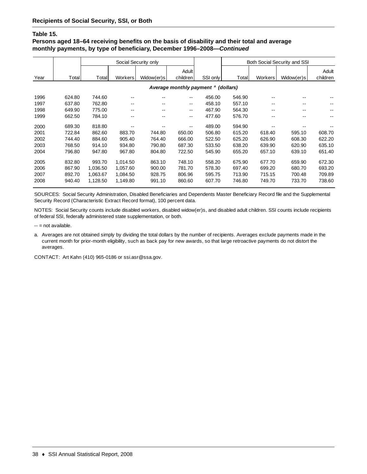#### **Table 15.**

## **Persons aged 18–64 receiving benefits on the basis of disability and their total and average monthly payments, by type of beneficiary, December 1996–2008—***Continued*

|      |        | Social Security only |                |            |                                                |          |        |                | Both Social Security and SSI |          |
|------|--------|----------------------|----------------|------------|------------------------------------------------|----------|--------|----------------|------------------------------|----------|
|      |        |                      |                |            | Adult                                          |          |        |                |                              | Adult    |
| Year | Total  | Total                | <b>Workers</b> | Widow(er)s | children                                       | SSI only | Total  | <b>Workers</b> | Widow(er)s                   | children |
|      |        |                      |                |            | Average monthly payment <sup>a</sup> (dollars) |          |        |                |                              |          |
| 1996 | 624.80 | 744.60               |                |            | $- -$                                          | 456.00   | 546.90 |                |                              |          |
| 1997 | 637.80 | 762.80               | $- -$          | --         | --                                             | 458.10   | 557.10 | $- -$          |                              |          |
| 1998 | 649.90 | 775.00               | $- -$          | --         | --                                             | 467.90   | 564.30 | $- -$          |                              |          |
| 1999 | 662.50 | 784.10               | $- -$          | --         | $- -$                                          | 477.60   | 576.70 | $- -$          |                              |          |
| 2000 | 689.30 | 818.80               |                |            | $-$                                            | 489.00   | 594.90 |                |                              |          |
| 2001 | 722.84 | 862.60               | 883.70         | 744.80     | 650.00                                         | 506.80   | 615.20 | 618.40         | 595.10                       | 608.70   |
| 2002 | 744.40 | 884.60               | 905.40         | 764.40     | 666.00                                         | 522.50   | 625.20 | 626.90         | 608.30                       | 622.20   |
| 2003 | 768.50 | 914.10               | 934.80         | 790.80     | 687.30                                         | 533.50   | 638.20 | 639.90         | 620.90                       | 635.10   |
| 2004 | 796.80 | 947.80               | 967.80         | 804.80     | 722.50                                         | 545.90   | 655.20 | 657.10         | 639.10                       | 651.40   |
| 2005 | 832.80 | 993.70               | 1,014.50       | 863.10     | 748.10                                         | 558.20   | 675.90 | 677.70         | 659.90                       | 672.30   |
| 2006 | 867.90 | 1.036.50             | 1.057.60       | 900.00     | 781.70                                         | 578.30   | 697.40 | 699.20         | 680.70                       | 693.20   |
| 2007 | 892.70 | 1,063.67             | 1,084.50       | 928.75     | 806.96                                         | 595.75   | 713.90 | 715.15         | 700.48                       | 709.89   |
| 2008 | 940.40 | 1,128.50             | 1,149.80       | 991.10     | 860.60                                         | 607.70   | 746.80 | 749.70         | 733.70                       | 738.60   |

SOURCES: Social Security Administration, Disabled Beneficiaries and Dependents Master Beneficiary Record file and the Supplemental Security Record (Characteristic Extract Record format), 100 percent data.

NOTES: Social Security counts include disabled workers, disabled widow(er)s, and disabled adult children. SSI counts include recipients of federal SSI, federally administered state supplementation, or both.

- $-$  = not available.
- a. Averages are not obtained simply by dividing the total dollars by the number of recipients. Averages exclude payments made in the current month for prior-month eligibility, such as back pay for new awards, so that large retroactive payments do not distort the averages.

CONTACT: Art Kahn (410) 965-0186 or ssi.asr@ssa.gov.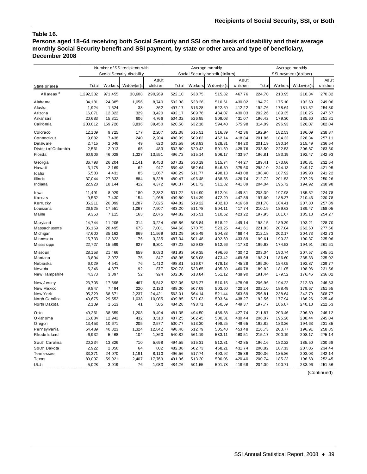### **Table 16.**

**Persons aged 18–64 receiving both Social Security and SSI on the basis of disability and their average monthly Social Security benefit and SSI payment, by state or other area and type of beneficiary, December 2008**

|                        | Number of SSI recipients with |         |                            |                   |        |         | Average monthly                   |                   | Average monthly       |         |            |                   |  |
|------------------------|-------------------------------|---------|----------------------------|-------------------|--------|---------|-----------------------------------|-------------------|-----------------------|---------|------------|-------------------|--|
|                        |                               |         | Social Security disability |                   |        |         | Social Security benefit (dollars) |                   | SSI payment (dollars) |         |            |                   |  |
| State or area          | Total                         | Workers | Widow(er)s                 | Adult<br>children | Total  | Workers | Widow(er)s                        | Adult<br>children | Total                 | Workers | Widow(er)s | Adult<br>children |  |
| All areas <sup>a</sup> | 1,292,332                     | 971,455 | 30,608                     | 290,269           | 522.10 | 538.75  | 515.32                            | 467.76            | 224.70                | 210.95  | 218.34     | 270.82            |  |
| Alabama                | 34,181                        | 24,385  | 1,056                      | 8,740             | 502.38 | 528.26  | 510.61                            | 430.02            | 194.72                | 175.10  | 192.69     | 249.06            |  |
| Alaska                 | 1,924                         | 1,524   | 38                         | 362               | 497.17 | 516.28  | 522.69                            | 412.22            | 192.76                | 178.64  | 181.32     | 254.80            |  |
| Arizona                | 16,071                        | 12,322  | 329                        | 3,420             | 492.17 | 509.76  | 484.07                            | 430.03            | 202.26                | 189.35  | 210.25     | 247.67            |  |
| Arkansas               | 20,683                        | 15,311  | 606                        | 4,766             | 504.02 | 526.95  | 509.03                            | 431.07            | 196.42                | 179.30  | 185.60     | 251.81            |  |
| Califomia              | 203,012                       | 159,726 | 3,836                      | 39,450            | 620.50 | 632.18  | 594.40                            | 575.98            | 314.09                | 296.93  | 326.07     | 382.04            |  |
| Colorado               | 12,109                        | 9,725   | 177                        | 2,207             | 502.08 | 515.51  | 516.39                            | 442.36            | 192.94                | 182.53  | 186.09     | 238.87            |  |
| Connecticut            | 9,882                         | 7,438   | 240                        | 2,204             | 488.09 | 509.82  | 462.14                            | 418.84            | 201.86                | 184.33  | 228.34     | 257.11            |  |
| Delaw are              | 2,715                         | 2,046   | 49                         | 620               | 503.58 | 508.83  | 528.31                            | 484.20            | 201.19                | 190.14  | 215.49     | 236.64            |  |
| District of Columbia   | 2,561                         | 2,013   | 65                         | 483               | 502.80 | 520.42  | 501.69                            | 428.76            | 233.50                | 222.53  | 206.87     | 283.50            |  |
| Florida                | 60,906                        | 46,028  | 1,327                      | 13,551            | 496.72 | 515.14  | 506.17                            | 433.97            | 196.81                | 183.19  | 192.47     | 242.93            |  |
| Georgia                | 36,798                        | 26,204  | 1,141                      | 9,453             | 507.32 | 530.19  | 515.74                            | 444.27            | 189.41                | 173.86  | 180.81     | 232.64            |  |
| Hawaii                 | 3,178                         | 2,169   | 62                         | 947               | 559.48 | 552.64  | 546.39                            | 575.60            | 298.10                | 244.13  | 249.17     | 421.95            |  |
| Idaho                  | 5,583                         | 4,431   | 85                         | 1,067             | 498.29 | 511.77  | 498.13                            | 443.08            | 198.40                | 187.92  | 199.98     | 241.22            |  |
| Illinois               | 37,044                        | 27,832  | 884                        | 8,328             | 480.47 | 496.48  | 488.56                            | 426.74            | 212.72                | 201.53  | 207.26     | 250.26            |  |
| Indiana                | 22,928                        | 18,144  | 412                        | 4,372             | 490.37 | 501.72  | 511.82                            | 441.89            | 204.04                | 195.72  | 194.92     | 238.98            |  |
| Iowa                   | 11,491                        | 8,929   | 180                        | 2,382             | 501.22 | 514.90  | 512.04                            | 449.81            | 203.39                | 197.98  | 185.32     | 224.78            |  |
| Kansas                 | 9,552                         | 7,430   | 154                        | 1,968             | 499.80 | 514.39  | 472.20                            | 447.89            | 197.60                | 188.37  | 210.46     | 230.78            |  |
| Kentucky               | 35,211                        | 26,099  | 1,287                      | 7,825             | 494.82 | 519.22  | 482.10                            | 416.69            | 201.78                | 184.41  | 207.80     | 257.89            |  |
| Louisiana              | 26,525                        | 17,551  | 1,067                      | 7,907             | 483.20 | 511.78  | 504.11                            | 417.74            | 210.19                | 189.63  | 189.47     | 258.05            |  |
| Maine                  | 9,353                         | 7,115   | 163                        | 2,075             | 494.82 | 515.51  | 510.62                            | 423.22            | 197.95                | 181.67  | 185.18     | 254.27            |  |
| Maryland               | 14,744                        | 11,206  | 314                        | 3,224             | 495.86 | 508.84  | 518.22                            | 449.14            | 198.15                | 189.39  | 193.21     | 228.70            |  |
| Massachusetts          | 36,169                        | 28,495  | 673                        | 7,001             | 544.68 | 570.75  | 523.25                            | 441.61            | 221.83                | 207.04  | 262.60     | 277.56            |  |
| Michigan               | 47,600                        | 35,162  | 869                        | 11,569            | 501.29 | 505.49  | 504.83                            | 488.44            | 212.18                | 202.17  | 204.73     | 242.73            |  |
| Minnesota              | 15,733                        | 12,322  | 176                        | 3,235             | 487.34 | 501.48  | 492.69                            | 433.89            | 199.61                | 190.32  | 190.37     | 235.06            |  |
| <b>Mississippi</b>     | 22,727                        | 15,599  | 827                        | 6,301             | 497.22 | 529.08  | 512.66                            | 417.30            | 199.63                | 174.53  | 194.91     | 261.61            |  |
| Missouri               | 28,158                        | 21,466  | 659                        | 6,033             | 491.93 | 509.35  | 496.66                            | 430.42            | 203.04                | 190.74  | 207.57     | 245.61            |  |
| Montana                | 3,894                         | 2,972   | 75                         | 847               | 498.95 | 508.08  | 473.42                            | 469.68            | 198.21                | 186.60  | 235.33     | 235.02            |  |
| Nebraska               | 6,029                         | 4,541   | 76                         | 1,412             | 498.81 | 516.07  | 478.18                            | 445.28            | 195.00                | 184.05  | 192.87     | 229.77            |  |
| Nevada                 | 5,346                         | 4,377   | 92                         | 877               | 520.78 | 533.65  | 495.39                            | 460.78            | 189.82                | 181.05  | 198.96     | 231.56            |  |
| New Hampshire          | 4,373                         | 3,397   | 52                         | 924               | 502.30 | 518.84  | 551.12                            | 438.90            | 191.44                | 179.52  | 176.46     | 236.02            |  |
| New Jersey             | 23,705                        | 17,696  | 467                        | 5,542             | 522.06 | 536.27  | 510.15                            | 478.08            | 206.96                | 194.22  | 212.50     | 246.83            |  |
| New Mexico             | 9,847                         | 7,494   | 220                        | 2,133             | 488.00 | 507.09  | 503.60                            | 420.24            | 202.10                | 188.49  | 179.67     | 251.55            |  |
| New York               | 95,329                        | 68,671  | 2,237                      | 24,421            | 563.01 | 564.14  | 521.44                            | 563.69            | 256.81                | 238.64  | 242.79     | 308.77            |  |
| North Carolina         | 40,675                        | 29,552  | 1,038                      | 10,085            | 499.85 | 521.03  | 503.64                            | 438.27            | 192.56                | 177.94  | 186.26     | 235.46            |  |
| North Dakota           | 2,139                         | 1,513   | 41                         | 585               | 484.28 | 498.71  | 460.69                            | 449.37            | 197.77                | 186.87  | 240.18     | 222.53            |  |
| Ohio                   | 49,261                        | 38,559  | 1,208                      | 9,494             | 481.35 | 494.50  | 489.38                            | 427.74            | 211.87                | 203.46  | 206.89     | 246.12            |  |
| Oklahoma               | 16,884                        | 12,942  | 432                        | 3,510             | 487.25 | 502.45  | 500.31                            | 430.44            | 206.07                | 195.26  | 208.44     | 245.04            |  |
| Oregon                 | 13,453                        | 10,671  | 205                        | 2,577             | 500.77 | 513.30  | 498.25                            | 449.65            | 192.82                | 183.26  | 194.63     | 231.85            |  |
| Pennsylvania           | 54,489                        | 40,323  | 1,324                      | 12,842            | 498.46 | 512.79  | 505.40                            | 453.48            | 216.73                | 203.77  | 196.91     | 258.85            |  |
| Rhode Island           | 6,932                         | 5,468   | 104                        | 1,360             | 540.82 | 561.19  | 533.11                            | 460.51            | 215.17                | 200.19  | 208.17     | 275.14            |  |
| South Carolina         | 20,234                        | 13,826  | 710                        | 5,698             | 494.55 | 515.31  | 512.81                            | 442.85            | 196.16                | 182.22  | 185.50     | 230.68            |  |
| South Dakota           | 2,922                         | 2,056   | 64                         | 802               | 482.08 | 502.73  | 468.21                            | 431.74            | 200.82                | 187.13  | 207.06     | 234.44            |  |
| Tennessee              | 33,371                        | 24,070  | 1,191                      | 8,110             | 496.56 | 517.74  | 493.92                            | 435.36            | 200.36                | 185.86  | 203.03     | 242.14            |  |
| Texas                  | 80,097                        | 59,921  | 2,407                      | 17,769            | 491.96 | 513.20  | 500.06                            | 420.40            | 200.74                | 185.33  | 196.68     | 252.45            |  |
| Utah                   | 5,028                         | 3,919   | 76                         | 1,033             | 484.26 | 501.55  | 501.78                            | 418.68            | 204.09                | 190.71  | 233.96     | 251.56            |  |
|                        |                               |         |                            |                   |        |         |                                   |                   |                       |         |            | (Continued)       |  |